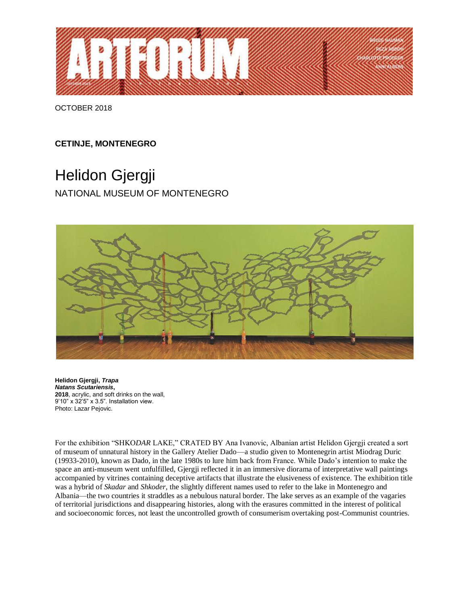

OCTOBER 2018

## **CETINJE, MONTENEGRO**

## Helidon Gjergji

NATIONAL MUSEUM OF MONTENEGRO



**Helidon Gjergji,** *Trapa Natans Scutariensis***, 2018**, acrylic, and soft drinks on the wall, 9'10" x 32'5" x 3.5". Installation view. Photo: Lazar Pejovic.

For the exhibition "SHKO*DAR* LAKE," CRATED BY Ana Ivanovic, Albanian artist Helidon Gjergji created a sort of museum of unnatural history in the Gallery Atelier Dado—a studio given to Montenegrin artist Miodrag Duric (19933-2010), known as Dado, in the late 1980s to lure him back from France. While Dado's intention to make the space an anti-museum went unfulfilled, Gjergji reflected it in an immersive diorama of interpretative wall paintings accompanied by vitrines containing deceptive artifacts that illustrate the elusiveness of existence. The exhibition title was a hybrid of *Skadar* and *Shkoder*, the slightly different names used to refer to the lake in Montenegro and Albania—the two countries it straddles as a nebulous natural border. The lake serves as an example of the vagaries of territorial jurisdictions and disappearing histories, along with the erasures committed in the interest of political and socioeconomic forces, not least the uncontrolled growth of consumerism overtaking post-Communist countries.